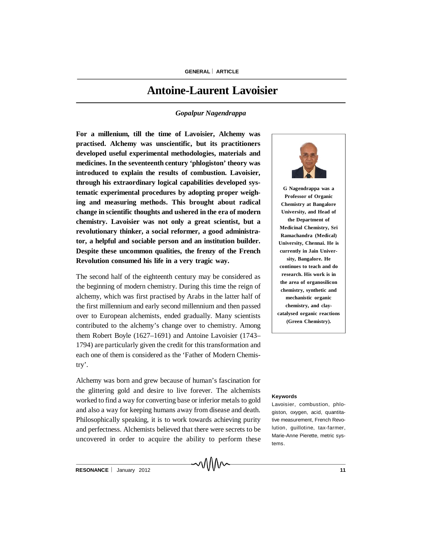# **Antoine-Laurent Lavoisier**

#### *Gopalpur Nagendrappa*

**For a millenium, till the time of Lavoisier, Alchemy was practised. Alchemy was unscientific, but its practitioners developed useful experimental methodologies, materials and medicines. In the seventeenth century 'phlogiston' theory was introduced to explain the results of combustion. Lavoisier, through his extraordinary logical capabilities developed systematic experimental procedures by adopting proper weighing and measuring methods. This brought about radical change in scientific thoughts and ushered in the era of modern chemistry. Lavoisier was not only a great scientist, but a revolutionary thinker, a social reformer, a good administrator, a helpful and sociable person and an institution builder. Despite these uncommon qualities, the frenzy of the French Revolution consumed his life in a very tragic way.**

The second half of the eighteenth century may be considered as the beginning of modern chemistry. During this time the reign of alchemy, which was first practised by Arabs in the latter half of the first millennium and early second millennium and then passed over to European alchemists, ended gradually. Many scientists contributed to the alchemy's change over to chemistry. Among them Robert Boyle (1627–1691) and Antoine Lavoisier (1743– 1794) are particularly given the credit for this transformation and each one of them is considered as the 'Father of Modern Chemistry'.

Alchemy was born and grew because of human's fascination for the glittering gold and desire to live forever. The alchemists worked to find a way for converting base or inferior metals to gold and also a way for keeping humans away from disease and death. Philosophically speaking, it is to work towards achieving purity and perfectness. Alchemists believed that there were secrets to be uncovered in order to acquire the ability to perform these



**G Nagendrappa was a Professor of Organic Chemistry at Bangalore University, and Head of the Department of Medicinal Chemistry, Sri Ramachandra (Medical) University, Chennai. He is currently in Jain University, Bangalore. He continues to teach and do research. His work is in the area of organosilicon chemistry, synthetic and mechanistic organic chemistry, and claycatalysed organic reactions (Green Chemistry).**

#### **Keywords**

Lavoisier, combustion, phlogiston, oxygen, acid, quantitative measurement, French Revolution, guillotine, tax-farmer, Marie-Anne Pierette, metric systems.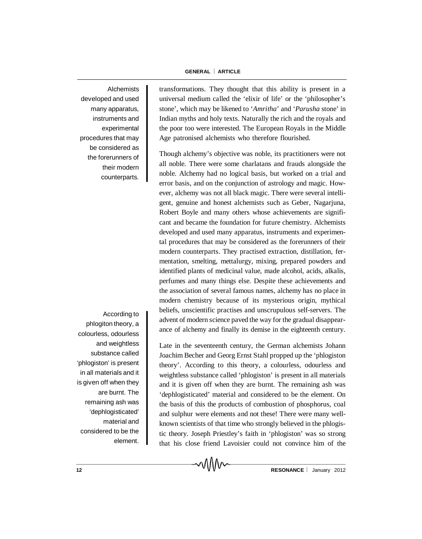Alchemists developed and used many apparatus, instruments and experimental procedures that may be considered as the forerunners of their modern counterparts.

According to phlogiton theory, a colourless, odourless and weightless substance called 'phlogiston' is present in all materials and it is given off when they are burnt. The remaining ash was 'dephlogisticated' material and considered to be the element.

transformations. They thought that this ability is present in a universal medium called the 'elixir of life' or the 'philosopher's stone', which may be likened to '*Amritha*' and '*Parusha* stone' in Indian myths and holy texts. Naturally the rich and the royals and the poor too were interested. The European Royals in the Middle Age patronised alchemists who therefore flourished.

Though alchemy's objective was noble, its practitioners were not all noble. There were some charlatans and frauds alongside the noble. Alchemy had no logical basis, but worked on a trial and error basis, and on the conjunction of astrology and magic. However, alchemy was not all black magic. There were several intelligent, genuine and honest alchemists such as Geber, Nagarjuna, Robert Boyle and many others whose achievements are significant and became the foundation for future chemistry. Alchemists developed and used many apparatus, instruments and experimental procedures that may be considered as the forerunners of their modern counterparts. They practised extraction, distillation, fermentation, smelting, mettalurgy, mixing, prepared powders and identified plants of medicinal value, made alcohol, acids, alkalis, perfumes and many things else. Despite these achievements and the association of several famous names, alchemy has no place in modern chemistry because of its mysterious origin, mythical beliefs, unscientific practises and unscrupulous self-servers. The advent of modern science paved the way for the gradual disappearance of alchemy and finally its demise in the eighteenth century.

Late in the seventeenth century, the German alchemists Johann Joachim Becher and Georg Ernst Stahl propped up the 'phlogiston theory'. According to this theory, a colourless, odourless and weightless substance called 'phlogiston' is present in all materials and it is given off when they are burnt. The remaining ash was 'dephlogisticated' material and considered to be the element. On the basis of this the products of combustion of phosphorus, coal and sulphur were elements and not these! There were many wellknown scientists of that time who strongly believed in the phlogistic theory. Joseph Priestley's faith in 'phlogiston' was so strong that his close friend Lavoisier could not convince him of the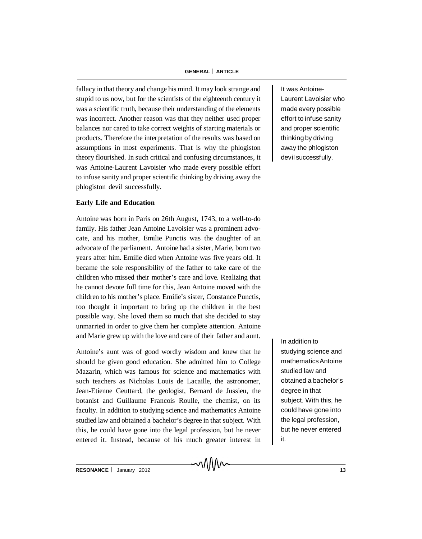fallacy in that theory and change his mind. It may look strange and stupid to us now, but for the scientists of the eighteenth century it was a scientific truth, because their understanding of the elements was incorrect. Another reason was that they neither used proper balances nor cared to take correct weights of starting materials or products. Therefore the interpretation of the results was based on assumptions in most experiments. That is why the phlogiston theory flourished. In such critical and confusing circumstances, it was Antoine-Laurent Lavoisier who made every possible effort to infuse sanity and proper scientific thinking by driving away the phlogiston devil successfully.

#### **Early Life and Education**

Antoine was born in Paris on 26th August, 1743, to a well-to-do family. His father Jean Antoine Lavoisier was a prominent advocate, and his mother, Emilie Punctis was the daughter of an advocate of the parliament. Antoine had a sister, Marie, born two years after him. Emilie died when Antoine was five years old. It became the sole responsibility of the father to take care of the children who missed their mother's care and love. Realizing that he cannot devote full time for this, Jean Antoine moved with the children to his mother's place. Emilie's sister, Constance Punctis, too thought it important to bring up the children in the best possible way. She loved them so much that she decided to stay unmarried in order to give them her complete attention. Antoine and Marie grew up with the love and care of their father and aunt.

Antoine's aunt was of good wordly wisdom and knew that he should be given good education. She admitted him to College Mazarin, which was famous for science and mathematics with such teachers as Nicholas Louis de Lacaille, the astronomer, Jean-Etienne Geuttard, the geologist, Bernard de Jussieu, the botanist and Guillaume Francois Roulle, the chemist, on its faculty. In addition to studying science and mathematics Antoine studied law and obtained a bachelor's degree in that subject. With this, he could have gone into the legal profession, but he never entered it. Instead, because of his much greater interest in It was Antoine-Laurent Lavoisier who made every possible effort to infuse sanity and proper scientific thinking by driving away the phlogiston devil successfully.

In addition to studying science and mathematics Antoine studied law and obtained a bachelor's degree in that subject. With this, he could have gone into the legal profession, but he never entered it.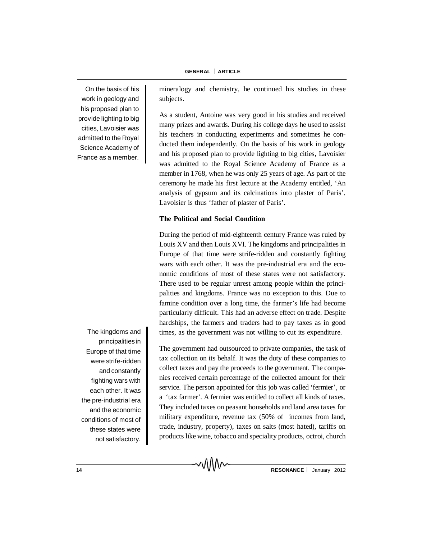subjects.

On the basis of his work in geology and his proposed plan to provide lighting to big cities, Lavoisier was admitted to the Royal Science Academy of France as a member.

many prizes and awards. During his college days he used to assist his teachers in conducting experiments and sometimes he conducted them independently. On the basis of his work in geology and his proposed plan to provide lighting to big cities, Lavoisier was admitted to the Royal Science Academy of France as a member in 1768, when he was only 25 years of age. As part of the ceremony he made his first lecture at the Academy entitled, 'An analysis of gypsum and its calcinations into plaster of Paris'. Lavoisier is thus 'father of plaster of Paris'.

mineralogy and chemistry, he continued his studies in these

As a student, Antoine was very good in his studies and received

# **The Political and Social Condition**

During the period of mid-eighteenth century France was ruled by Louis XV and then Louis XVI. The kingdoms and principalities in Europe of that time were strife-ridden and constantly fighting wars with each other. It was the pre-industrial era and the economic conditions of most of these states were not satisfactory. There used to be regular unrest among people within the principalities and kingdoms. France was no exception to this. Due to famine condition over a long time, the farmer's life had become particularly difficult. This had an adverse effect on trade. Despite hardships, the farmers and traders had to pay taxes as in good times, as the government was not willing to cut its expenditure.

The government had outsourced to private companies, the task of tax collection on its behalf. It was the duty of these companies to collect taxes and pay the proceeds to the government. The companies received certain percentage of the collected amount for their service. The person appointed for this job was called 'fermier', or a 'tax farmer'. A fermier was entitled to collect all kinds of taxes. They included taxes on peasant households and land area taxes for military expenditure, revenue tax (50% of incomes from land, trade, industry, property), taxes on salts (most hated), tariffs on products like wine, tobacco and speciality products, octroi, church

The kingdoms and principalitiesin Europe of that time were strife-ridden and constantly fighting wars with each other. It was the pre-industrial era and the economic conditions of most of these states were not satisfactory.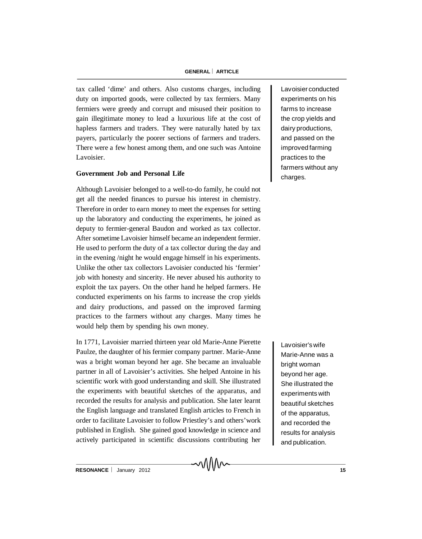tax called 'dime' and others. Also customs charges, including duty on imported goods, were collected by tax fermiers. Many fermiers were greedy and corrupt and misused their position to gain illegitimate money to lead a luxurious life at the cost of hapless farmers and traders. They were naturally hated by tax payers, particularly the poorer sections of farmers and traders. There were a few honest among them, and one such was Antoine Lavoisier.

# **Government Job and Personal Life**

Although Lavoisier belonged to a well-to-do family, he could not get all the needed finances to pursue his interest in chemistry. Therefore in order to earn money to meet the expenses for setting up the laboratory and conducting the experiments, he joined as deputy to fermier-general Baudon and worked as tax collector. After sometime Lavoisier himself became an independent fermier. He used to perform the duty of a tax collector during the day and in the evening /night he would engage himself in his experiments. Unlike the other tax collectors Lavoisier conducted his 'fermier' job with honesty and sincerity. He never abused his authority to exploit the tax payers. On the other hand he helped farmers. He conducted experiments on his farms to increase the crop yields and dairy productions, and passed on the improved farming practices to the farmers without any charges. Many times he would help them by spending his own money.

In 1771, Lavoisier married thirteen year old Marie-Anne Pierette Paulze, the daughter of his fermier company partner. Marie-Anne was a bright woman beyond her age. She became an invaluable partner in all of Lavoisier's activities. She helped Antoine in his scientific work with good understanding and skill. She illustrated the experiments with beautiful sketches of the apparatus, and recorded the results for analysis and publication. She later learnt the English language and translated English articles to French in order to facilitate Lavoisier to follow Priestley's and others'work published in English. She gained good knowledge in science and actively participated in scientific discussions contributing her

Lavoisier conducted experiments on his farms to increase the crop yields and dairy productions, and passed on the improved farming practices to the farmers without any charges.

Lavoisier's wife Marie-Anne was a bright woman beyond her age. She illustrated the experiments with beautiful sketches of the apparatus, and recorded the results for analysis and publication.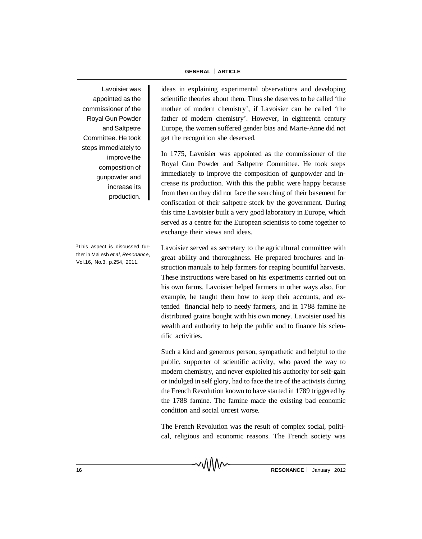Lavoisier was appointed as the commissioner of the Royal Gun Powder and Saltpetre Committee. He took steps immediately to improvethe composition of gunpowder and increase its production.

1This aspect is discussed further in Mallesh *et al*, *Resonance*, Vol.16, No.3, p.254, 2011.

ideas in explaining experimental observations and developing scientific theories about them. Thus she deserves to be called 'the mother of modern chemistry', if Lavoisier can be called 'the father of modern chemistry'. However, in eighteenth century Europe, the women suffered gender bias and Marie-Anne did not get the recognition she deserved.

In 1775, Lavoisier was appointed as the commissioner of the Royal Gun Powder and Saltpetre Committee. He took steps immediately to improve the composition of gunpowder and increase its production. With this the public were happy because from then on they did not face the searching of their basement for confiscation of their saltpetre stock by the government. During this time Lavoisier built a very good laboratory in Europe, which served as a centre for the European scientists to come together to exchange their views and ideas.

Lavoisier served as secretary to the agricultural committee with great ability and thoroughness. He prepared brochures and instruction manuals to help farmers for reaping bountiful harvests. These instructions were based on his experiments carried out on his own farms. Lavoisier helped farmers in other ways also. For example, he taught them how to keep their accounts, and extended financial help to needy farmers, and in 1788 famine he distributed grains bought with his own money. Lavoisier used his wealth and authority to help the public and to finance his scientific activities.

Such a kind and generous person, sympathetic and helpful to the public, supporter of scientific activity, who paved the way to modern chemistry, and never exploited his authority for self-gain or indulged in self glory, had to face the ire of the activists during the French Revolution known to have started in 1789 triggered by the 1788 famine. The famine made the existing bad economic condition and social unrest worse.

The French Revolution was the result of complex social, political, religious and economic reasons. The French society was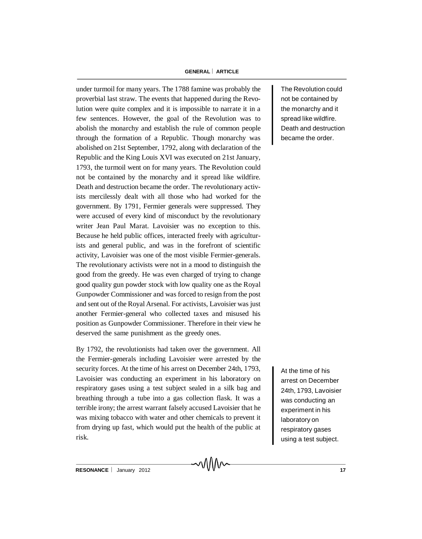under turmoil for many years. The 1788 famine was probably the proverbial last straw. The events that happened during the Revolution were quite complex and it is impossible to narrate it in a few sentences. However, the goal of the Revolution was to abolish the monarchy and establish the rule of common people through the formation of a Republic. Though monarchy was abolished on 21st September, 1792, along with declaration of the Republic and the King Louis XVI was executed on 21st January, 1793, the turmoil went on for many years. The Revolution could not be contained by the monarchy and it spread like wildfire. Death and destruction became the order. The revolutionary activists mercilessly dealt with all those who had worked for the government. By 1791, Fermier generals were suppressed. They were accused of every kind of misconduct by the revolutionary writer Jean Paul Marat. Lavoisier was no exception to this. Because he held public offices, interacted freely with agriculturists and general public, and was in the forefront of scientific activity, Lavoisier was one of the most visible Fermier-generals. The revolutionary activists were not in a mood to distinguish the good from the greedy. He was even charged of trying to change good quality gun powder stock with low quality one as the Royal Gunpowder Commissioner and was forced to resign from the post and sent out of the Royal Arsenal. For activists, Lavoisier was just another Fermier-general who collected taxes and misused his position as Gunpowder Commissioner. Therefore in their view he deserved the same punishment as the greedy ones.

By 1792, the revolutionists had taken over the government. All the Fermier-generals including Lavoisier were arrested by the security forces. At the time of his arrest on December 24th, 1793, Lavoisier was conducting an experiment in his laboratory on respiratory gases using a test subject sealed in a silk bag and breathing through a tube into a gas collection flask. It was a terrible irony; the arrest warrant falsely accused Lavoisier that he was mixing tobacco with water and other chemicals to prevent it from drying up fast, which would put the health of the public at risk.

The Revolution could not be contained by the monarchy and it spread like wildfire. Death and destruction became the order.

At the time of his arrest on December 24th, 1793, Lavoisier was conducting an experiment in his laboratory on respiratory gases using a test subject.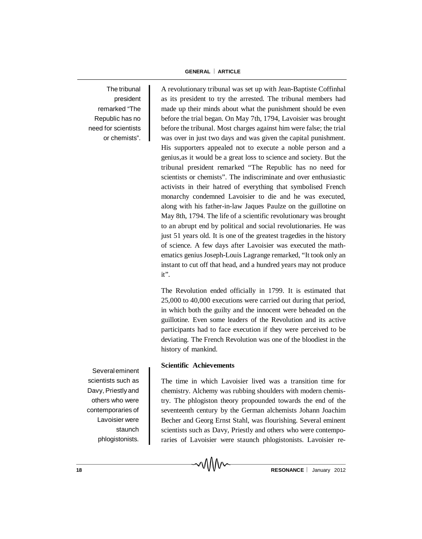The tribunal president remarked "The Republic has no need for scientists or chemists".

A revolutionary tribunal was set up with Jean-Baptiste Coffinhal as its president to try the arrested. The tribunal members had made up their minds about what the punishment should be even before the trial began. On May 7th, 1794, Lavoisier was brought before the tribunal. Most charges against him were false; the trial was over in just two days and was given the capital punishment. His supporters appealed not to execute a noble person and a genius,as it would be a great loss to science and society. But the tribunal president remarked "The Republic has no need for scientists or chemists". The indiscriminate and over enthusiastic activists in their hatred of everything that symbolised French monarchy condemned Lavoisier to die and he was executed, along with his father-in-law Jaques Paulze on the guillotine on May 8th, 1794. The life of a scientific revolutionary was brought to an abrupt end by political and social revolutionaries. He was just 51 years old. It is one of the greatest tragedies in the history of science. A few days after Lavoisier was executed the mathematics genius Joseph-Louis Lagrange remarked, "It took only an instant to cut off that head, and a hundred years may not produce it".

The Revolution ended officially in 1799. It is estimated that 25,000 to 40,000 executions were carried out during that period, in which both the guilty and the innocent were beheaded on the guillotine. Even some leaders of the Revolution and its active participants had to face execution if they were perceived to be deviating. The French Revolution was one of the bloodiest in the history of mankind.

# **Scientific Achievements**

The time in which Lavoisier lived was a transition time for chemistry. Alchemy was rubbing shoulders with modern chemistry. The phlogiston theory propounded towards the end of the seventeenth century by the German alchemists Johann Joachim Becher and Georg Ernst Stahl, was flourishing. Several eminent scientists such as Davy, Priestly and others who were contemporaries of Lavoisier were staunch phlogistonists. Lavoisier re-

Severaleminent scientists such as Davy, Priestly and others who were contemporaries of Lavoisier were staunch phlogistonists.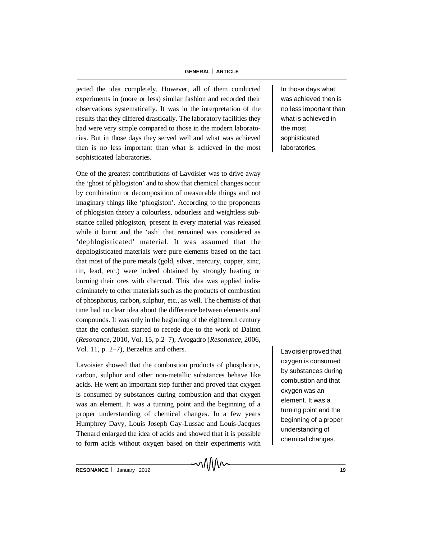jected the idea completely. However, all of them conducted experiments in (more or less) similar fashion and recorded their observations systematically. It was in the interpretation of the results that they differed drastically. The laboratory facilities they had were very simple compared to those in the modern laboratories. But in those days they served well and what was achieved then is no less important than what is achieved in the most sophisticated laboratories.

One of the greatest contributions of Lavoisier was to drive away the 'ghost of phlogiston' and to show that chemical changes occur by combination or decomposition of measurable things and not imaginary things like 'phlogiston'. According to the proponents of phlogiston theory a colourless, odourless and weightless substance called phlogiston, present in every material was released while it burnt and the 'ash' that remained was considered as 'dephlogisticated' material. It was assumed that the dephlogisticated materials were pure elements based on the fact that most of the pure metals (gold, silver, mercury, copper, zinc, tin, lead, etc.) were indeed obtained by strongly heating or burning their ores with charcoal. This idea was applied indiscriminately to other materials such as the products of combustion of phosphorus, carbon, sulphur, etc., as well. The chemists of that time had no clear idea about the difference between elements and compounds. It was only in the beginning of the eighteenth century that the confusion started to recede due to the work of Dalton (*Resonance*, 2010, Vol. 15, p.2–7), Avogadro (*Resonance*, 2006, Vol. 11, p. 2–7), Berzelius and others.

Lavoisier showed that the combustion products of phosphorus, carbon, sulphur and other non-metallic substances behave like acids. He went an important step further and proved that oxygen is consumed by substances during combustion and that oxygen was an element. It was a turning point and the beginning of a proper understanding of chemical changes. In a few years Humphrey Davy, Louis Joseph Gay-Lussac and Louis-Jacques Thenard enlarged the idea of acids and showed that it is possible to form acids without oxygen based on their experiments with

In those days what was achieved then is no less important than what is achieved in the most sophisticated laboratories.

Lavoisier proved that oxygen is consumed by substances during combustion and that oxygen was an element. It was a turning point and the beginning of a proper understanding of chemical changes.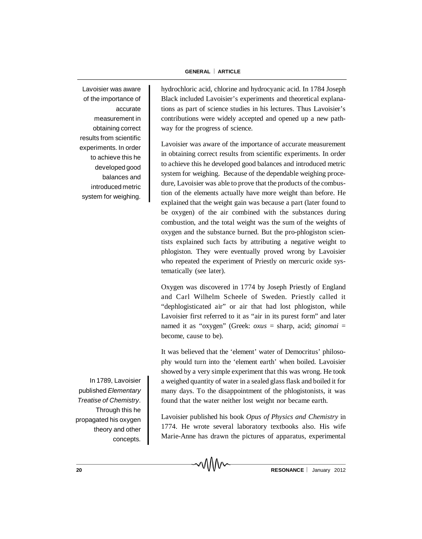Lavoisier was aware of the importance of accurate measurement in obtaining correct results from scientific experiments. In order to achieve this he developed good balances and introduced metric system for weighing.

In 1789, Lavoisier published *Elementary Treatise of Chemistry*. Through this he propagated his oxygen theory and other concepts.

hydrochloric acid, chlorine and hydrocyanic acid. In 1784 Joseph Black included Lavoisier's experiments and theoretical explanations as part of science studies in his lectures. Thus Lavoisier's contributions were widely accepted and opened up a new pathway for the progress of science.

Lavoisier was aware of the importance of accurate measurement in obtaining correct results from scientific experiments. In order to achieve this he developed good balances and introduced metric system for weighing. Because of the dependable weighing procedure, Lavoisier was able to prove that the products of the combustion of the elements actually have more weight than before. He explained that the weight gain was because a part (later found to be oxygen) of the air combined with the substances during combustion, and the total weight was the sum of the weights of oxygen and the substance burned. But the pro-phlogiston scientists explained such facts by attributing a negative weight to phlogiston. They were eventually proved wrong by Lavoisier who repeated the experiment of Priestly on mercuric oxide systematically (see later).

Oxygen was discovered in 1774 by Joseph Priestly of England and Carl Wilhelm Scheele of Sweden. Priestly called it "dephlogisticated air" or air that had lost phlogiston, while Lavoisier first referred to it as "air in its purest form" and later named it as "oxygen" (Greek: *oxus* = sharp, acid; *ginomai* = become, cause to be).

It was believed that the 'element' water of Democritus' philosophy would turn into the 'element earth' when boiled. Lavoisier showed by a very simple experiment that this was wrong. He took a weighed quantity of water in a sealed glass flask and boiled it for many days. To the disappointment of the phlogistonists, it was found that the water neither lost weight nor became earth.

Lavoisier published his book *Opus of Physics and Chemistry* in 1774. He wrote several laboratory textbooks also. His wife Marie-Anne has drawn the pictures of apparatus, experimental

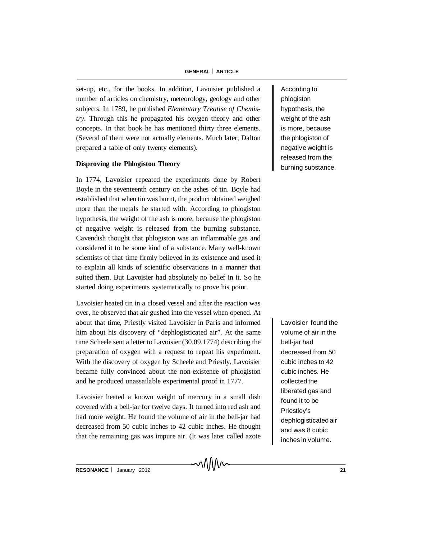set-up, etc., for the books. In addition, Lavoisier published a number of articles on chemistry, meteorology, geology and other subjects. In 1789, he published *Elementary Treatise of Chemistry*. Through this he propagated his oxygen theory and other concepts. In that book he has mentioned thirty three elements. (Several of them were not actually elements. Much later, Dalton prepared a table of only twenty elements).

# **Disproving the Phlogiston Theory**

In 1774, Lavoisier repeated the experiments done by Robert Boyle in the seventeenth century on the ashes of tin. Boyle had established that when tin was burnt, the product obtained weighed more than the metals he started with. According to phlogiston hypothesis, the weight of the ash is more, because the phlogiston of negative weight is released from the burning substance. Cavendish thought that phlogiston was an inflammable gas and considered it to be some kind of a substance. Many well-known scientists of that time firmly believed in its existence and used it to explain all kinds of scientific observations in a manner that suited them. But Lavoisier had absolutely no belief in it. So he started doing experiments systematically to prove his point.

Lavoisier heated tin in a closed vessel and after the reaction was over, he observed that air gushed into the vessel when opened. At about that time, Priestly visited Lavoisier in Paris and informed him about his discovery of "dephlogisticated air". At the same time Scheele sent a letter to Lavoisier (30.09.1774) describing the preparation of oxygen with a request to repeat his experiment. With the discovery of oxygen by Scheele and Priestly, Lavoisier became fully convinced about the non-existence of phlogiston and he produced unassailable experimental proof in 1777.

Lavoisier heated a known weight of mercury in a small dish covered with a bell-jar for twelve days. It turned into red ash and had more weight. He found the volume of air in the bell-jar had decreased from 50 cubic inches to 42 cubic inches. He thought that the remaining gas was impure air. (It was later called azote

According to phlogiston hypothesis, the weight of the ash is more, because the phlogiston of negative weight is released from the burning substance.

Lavoisier found the volume of air in the bell-jar had decreased from 50 cubic inches to 42 cubic inches. He collected the liberated gas and found it to be Priestley's dephlogisticated air and was 8 cubic inches in volume.